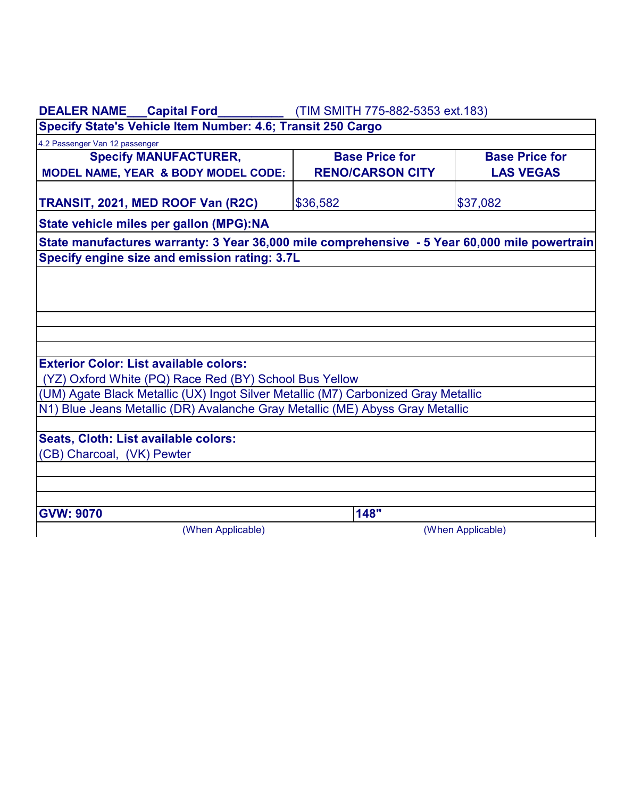| DEALER NAME___Capital Ford__________                                                          | (TIM SMITH 775-882-5353 ext. 183)                |                                           |  |  |
|-----------------------------------------------------------------------------------------------|--------------------------------------------------|-------------------------------------------|--|--|
| Specify State's Vehicle Item Number: 4.6; Transit 250 Cargo                                   |                                                  |                                           |  |  |
| 4.2 Passenger Van 12 passenger                                                                |                                                  |                                           |  |  |
| <b>Specify MANUFACTURER,</b><br>MODEL NAME, YEAR & BODY MODEL CODE:                           | <b>Base Price for</b><br><b>RENO/CARSON CITY</b> | <b>Base Price for</b><br><b>LAS VEGAS</b> |  |  |
| TRANSIT, 2021, MED ROOF Van (R2C)                                                             | \$36,582                                         | \$37,082                                  |  |  |
| State vehicle miles per gallon (MPG):NA                                                       |                                                  |                                           |  |  |
| State manufactures warranty: 3 Year 36,000 mile comprehensive - 5 Year 60,000 mile powertrain |                                                  |                                           |  |  |
| Specify engine size and emission rating: 3.7L                                                 |                                                  |                                           |  |  |
|                                                                                               |                                                  |                                           |  |  |
|                                                                                               |                                                  |                                           |  |  |
|                                                                                               |                                                  |                                           |  |  |
|                                                                                               |                                                  |                                           |  |  |
| <b>Exterior Color: List available colors:</b>                                                 |                                                  |                                           |  |  |
| (YZ) Oxford White (PQ) Race Red (BY) School Bus Yellow                                        |                                                  |                                           |  |  |
| (UM) Agate Black Metallic (UX) Ingot Silver Metallic (M7) Carbonized Gray Metallic            |                                                  |                                           |  |  |
| N1) Blue Jeans Metallic (DR) Avalanche Gray Metallic (ME) Abyss Gray Metallic                 |                                                  |                                           |  |  |
|                                                                                               |                                                  |                                           |  |  |
| Seats, Cloth: List available colors:                                                          |                                                  |                                           |  |  |
| (CB) Charcoal, (VK) Pewter                                                                    |                                                  |                                           |  |  |
|                                                                                               |                                                  |                                           |  |  |
|                                                                                               |                                                  |                                           |  |  |
| <b>GVW: 9070</b>                                                                              | 148"                                             |                                           |  |  |
| (When Applicable)                                                                             |                                                  | (When Applicable)                         |  |  |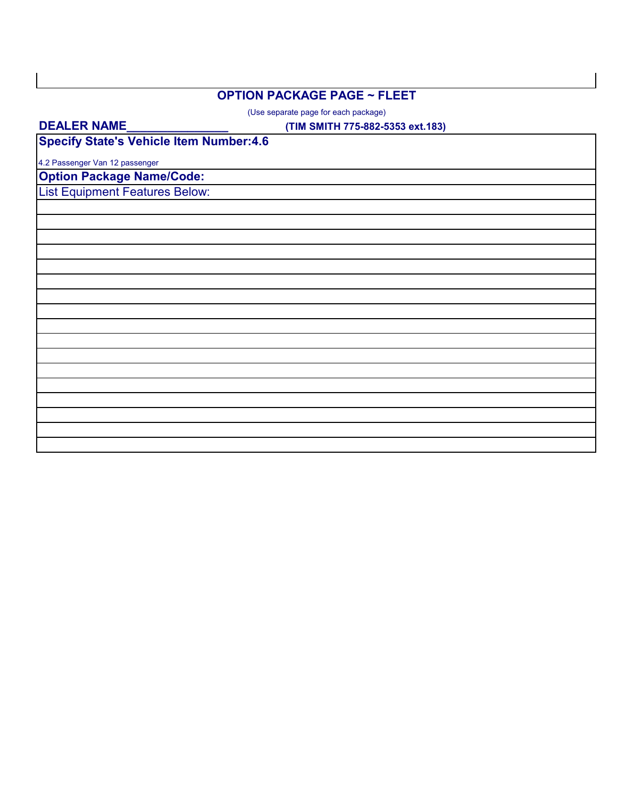### **OPTION PACKAGE PAGE ~ FLEET**

(Use separate page for each package)

#### **DEALER NAME\_\_\_\_\_\_\_\_\_\_\_\_\_\_\_**

**(TIM SMITH 775-882-5353 ext.183)**

**Specify State's Vehicle Item Number:4.6**

4.2 Passenger Van 12 passenger

**Option Package Name/Code:** List Equipment Features Below: